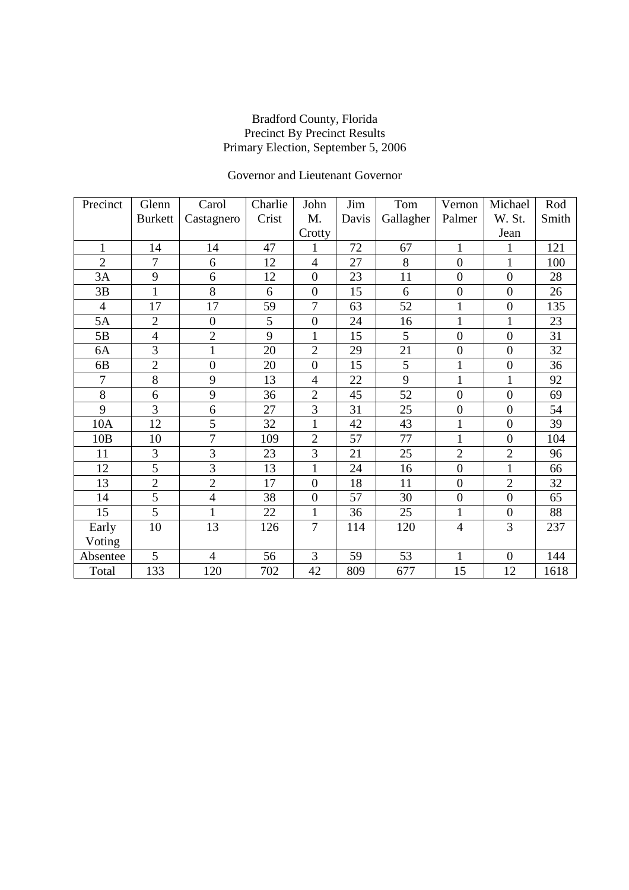## Governor and Lieutenant Governor

| Precinct       | Glenn          | Carol          | Charlie | John             | Jim   | Tom       | Vernon         | Michael          | Rod   |
|----------------|----------------|----------------|---------|------------------|-------|-----------|----------------|------------------|-------|
|                | <b>Burkett</b> | Castagnero     | Crist   | M.               | Davis | Gallagher | Palmer         | W. St.           | Smith |
|                |                |                |         | Crotty           |       |           |                | Jean             |       |
| $\mathbf{1}$   | 14             | 14             | 47      | 1                | 72    | 67        | $\mathbf{1}$   |                  | 121   |
| $\overline{2}$ | 7              | 6              | 12      | $\overline{4}$   | 27    | 8         | $\overline{0}$ | 1                | 100   |
| 3A             | 9              | 6              | 12      | $\overline{0}$   | 23    | 11        | $\mathbf{0}$   | $\overline{0}$   | 28    |
| 3B             | $\mathbf 1$    | 8              | 6       | $\overline{0}$   | 15    | 6         | $\overline{0}$ | $\overline{0}$   | 26    |
| $\overline{4}$ | 17             | 17             | 59      | $\overline{7}$   | 63    | 52        | $\mathbf{1}$   | $\boldsymbol{0}$ | 135   |
| 5A             | $\overline{2}$ | $\mathbf{0}$   | 5       | $\boldsymbol{0}$ | 24    | 16        | $\mathbf{1}$   | $\mathbf{1}$     | 23    |
| 5B             | 4              | $\overline{2}$ | 9       | $\mathbf{1}$     | 15    | 5         | $\overline{0}$ | $\boldsymbol{0}$ | 31    |
| 6A             | $\overline{3}$ | $\mathbf{1}$   | 20      | $\overline{2}$   | 29    | 21        | $\overline{0}$ | $\overline{0}$   | 32    |
| 6B             | $\overline{2}$ | $\overline{0}$ | 20      | $\overline{0}$   | 15    | 5         | 1              | $\overline{0}$   | 36    |
| $\overline{7}$ | 8              | 9              | 13      | $\overline{4}$   | 22    | 9         | $\mathbf 1$    | $\mathbf{1}$     | 92    |
| $8\,$          | 6              | 9              | 36      | $\overline{2}$   | 45    | 52        | $\overline{0}$ | $\overline{0}$   | 69    |
| $\overline{9}$ | $\overline{3}$ | 6              | 27      | 3                | 31    | 25        | $\overline{0}$ | $\overline{0}$   | 54    |
| 10A            | 12             | 5              | 32      | $\mathbf{1}$     | 42    | 43        | $\mathbf{1}$   | $\mathbf{0}$     | 39    |
| 10B            | 10             | $\tau$         | 109     | $\overline{2}$   | 57    | 77        | $\mathbf{1}$   | $\mathbf{0}$     | 104   |
| 11             | 3              | 3              | 23      | 3                | 21    | 25        | $\overline{2}$ | $\overline{2}$   | 96    |
| 12             | $\overline{5}$ | $\overline{3}$ | 13      | $\mathbf{1}$     | 24    | 16        | $\overline{0}$ | $\mathbf{1}$     | 66    |
| 13             | $\overline{2}$ | $\sqrt{2}$     | 17      | $\mathbf{0}$     | 18    | 11        | $\mathbf{0}$   | $\overline{2}$   | 32    |
| 14             | $\overline{5}$ | $\overline{4}$ | 38      | $\mathbf{0}$     | 57    | 30        | $\overline{0}$ | $\overline{0}$   | 65    |
| 15             | 5              | $\mathbf{1}$   | 22      | $\mathbf{1}$     | 36    | 25        | $\mathbf{1}$   | $\overline{0}$   | 88    |
| Early          | 10             | 13             | 126     | $\overline{7}$   | 114   | 120       | $\overline{4}$ | 3                | 237   |
| Voting         |                |                |         |                  |       |           |                |                  |       |
| Absentee       | 5              | $\overline{4}$ | 56      | 3                | 59    | 53        | 1              | $\boldsymbol{0}$ | 144   |
| Total          | 133            | 120            | 702     | 42               | 809   | 677       | 15             | 12               | 1618  |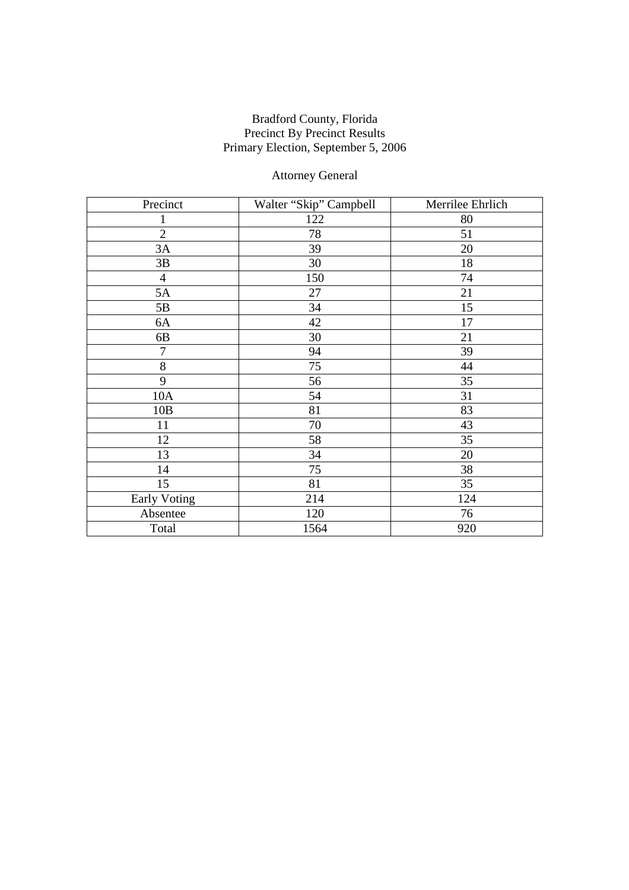## Attorney General

| Precinct            | Walter "Skip" Campbell | Merrilee Ehrlich |  |
|---------------------|------------------------|------------------|--|
| $\mathbf{1}$        | 122                    | 80               |  |
| $\overline{2}$      | 78                     | 51               |  |
| 3A                  | 39                     | 20               |  |
| 3B                  | 30                     | 18               |  |
| $\overline{4}$      | 150                    | 74               |  |
| 5A                  | 27                     | 21               |  |
| 5B                  | 34                     | 15               |  |
| 6A                  | 42                     | 17               |  |
| 6B                  | 30                     | 21               |  |
| $\tau$              | 94                     | 39               |  |
| 8                   | 75                     | 44               |  |
| 9                   | 56                     | 35               |  |
| 10A                 | 54                     | 31               |  |
| 10B                 | 81                     | 83               |  |
| 11                  | 70                     | 43               |  |
| 12                  | 58                     | 35               |  |
| 13                  | 34                     | 20               |  |
| 14                  | 75                     | 38               |  |
| 15                  | 81                     | 35               |  |
| <b>Early Voting</b> | 214                    | 124              |  |
| Absentee            | 120                    | 76               |  |
| Total               | 1564                   | 920              |  |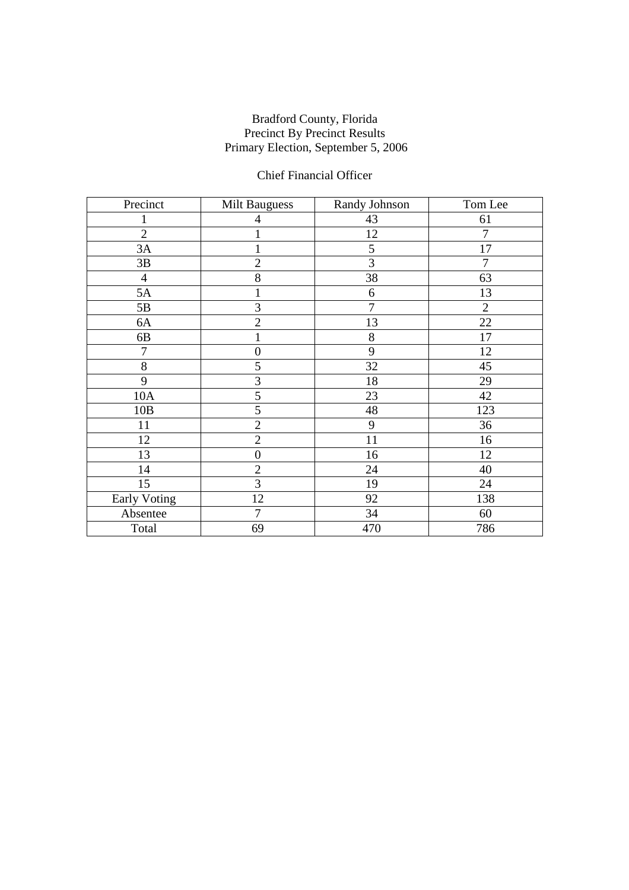## Chief Financial Officer

| Precinct       | <b>Milt Bauguess</b> | Randy Johnson  | Tom Lee        |
|----------------|----------------------|----------------|----------------|
|                | 4                    | 43             | 61             |
| $\overline{2}$ |                      | 12             | 7              |
| 3A             |                      | 5              | 17             |
| 3B             | $\overline{c}$       | $\overline{3}$ | $\overline{7}$ |
| $\overline{4}$ | 8                    | 38             | 63             |
| 5A             | $\bf{l}$             | 6              | 13             |
| 5B             | 3                    | $\overline{7}$ | $\overline{2}$ |
| 6A             | $\overline{2}$       | 13             | 22             |
| 6B             |                      | 8              | 17             |
| 7              | $\boldsymbol{0}$     | 9              | 12             |
| 8              | 5                    | 32             | 45             |
| 9              | 3                    | 18             | 29             |
| 10A            | 5                    | 23             | 42             |
| 10B            | $\overline{5}$       | 48             | 123            |
| 11             | $\mathbf{2}$         | 9              | 36             |
| 12             | $\overline{2}$       | 11             | 16             |
| 13             | $\boldsymbol{0}$     | 16             | 12             |
| 14             | $\overline{2}$       | 24             | 40             |
| 15             | 3                    | 19             | 24             |
| Early Voting   | 12                   | 92             | 138            |
| Absentee       | $\overline{7}$       | 34             | 60             |
| Total          | 69                   | 470            | 786            |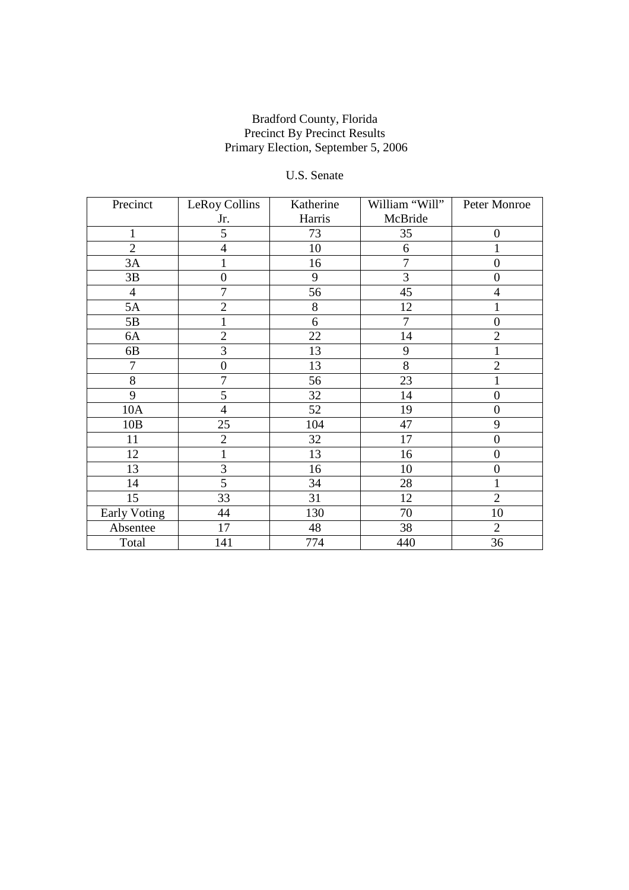## U.S. Senate

| Precinct       | LeRoy Collins    | Katherine | William "Will" | Peter Monroe     |
|----------------|------------------|-----------|----------------|------------------|
|                | Jr.              | Harris    | McBride        |                  |
| 1              | 5                | 73        | 35             | $\boldsymbol{0}$ |
| $\overline{2}$ | $\overline{4}$   | 10        | 6              | 1                |
| 3A             | $\mathbf{1}$     | 16        | $\overline{7}$ | $\overline{0}$   |
| 3B             | $\mathbf{0}$     | 9         | $\overline{3}$ | $\mathbf{0}$     |
| $\overline{4}$ | $\overline{7}$   | 56        | 45             | $\overline{4}$   |
| 5A             | $\overline{2}$   | 8         | 12             | 1                |
| 5B             | 1                | 6         | 7              | $\overline{0}$   |
| 6A             | $\overline{c}$   | 22        | 14             | $\overline{2}$   |
| 6B             | 3                | 13        | 9              | 1                |
| $\overline{7}$ | $\boldsymbol{0}$ | 13        | 8              | $\overline{2}$   |
| $8\,$          | $\overline{7}$   | 56        | 23             | 1                |
| 9              | 5                | 32        | 14             | $\mathbf{0}$     |
| 10A            | $\overline{4}$   | 52        | 19             | $\mathbf{0}$     |
| 10B            | 25               | 104       | 47             | 9                |
| 11             | $\overline{2}$   | 32        | 17             | $\boldsymbol{0}$ |
| 12             | $\mathbf{1}$     | 13        | 16             | $\overline{0}$   |
| 13             | 3                | 16        | 10             | $\mathbf{0}$     |
| 14             | 5                | 34        | 28             | 1                |
| 15             | 33               | 31        | 12             | $\overline{2}$   |
| Early Voting   | 44               | 130       | 70             | 10               |
| Absentee       | 17               | 48        | 38             | $\overline{2}$   |
| Total          | 141              | 774       | 440            | 36               |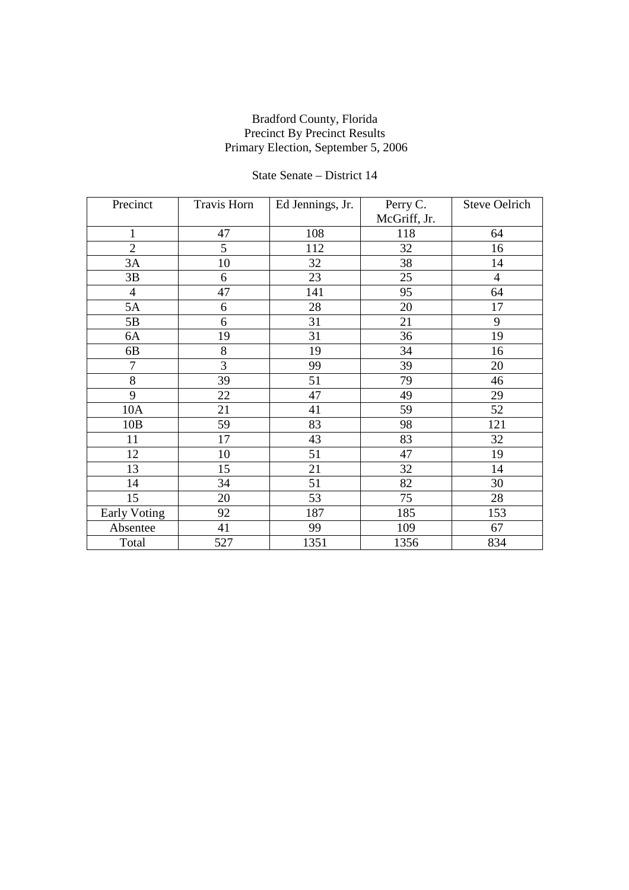## State Senate – District 14

| Precinct            | <b>Travis Horn</b> | Ed Jennings, Jr. | Perry C.     | <b>Steve Oelrich</b> |
|---------------------|--------------------|------------------|--------------|----------------------|
|                     |                    |                  | McGriff, Jr. |                      |
| $\mathbf{1}$        | 47                 | 108              | 118          | 64                   |
| $\overline{2}$      | 5                  | 112              | 32           | 16                   |
| 3A                  | 10                 | 32               | 38           | 14                   |
| 3B                  | 6                  | 23               | 25           | $\overline{4}$       |
| $\overline{4}$      | 47                 | 141              | 95           | 64                   |
| 5A                  | $\boldsymbol{6}$   | 28               | 20           | 17                   |
| 5B                  | 6                  | 31               | 21           | 9                    |
| 6A                  | 19                 | 31               | 36           | 19                   |
| 6B                  | 8                  | 19               | 34           | 16                   |
| $\overline{7}$      | $\overline{3}$     | 99               | 39           | 20                   |
| $8\,$               | 39                 | 51               | 79           | 46                   |
| 9                   | 22                 | 47               | 49           | 29                   |
| 10A                 | 21                 | 41               | 59           | 52                   |
| 10B                 | 59                 | 83               | 98           | 121                  |
| 11                  | 17                 | 43               | 83           | 32                   |
| 12                  | 10                 | 51               | 47           | 19                   |
| 13                  | 15                 | 21               | 32           | 14                   |
| 14                  | 34                 | 51               | 82           | 30                   |
| 15                  | 20                 | 53               | 75           | 28                   |
| <b>Early Voting</b> | 92                 | 187              | 185          | 153                  |
| Absentee            | 41                 | 99               | 109          | 67                   |
| Total               | 527                | 1351             | 1356         | 834                  |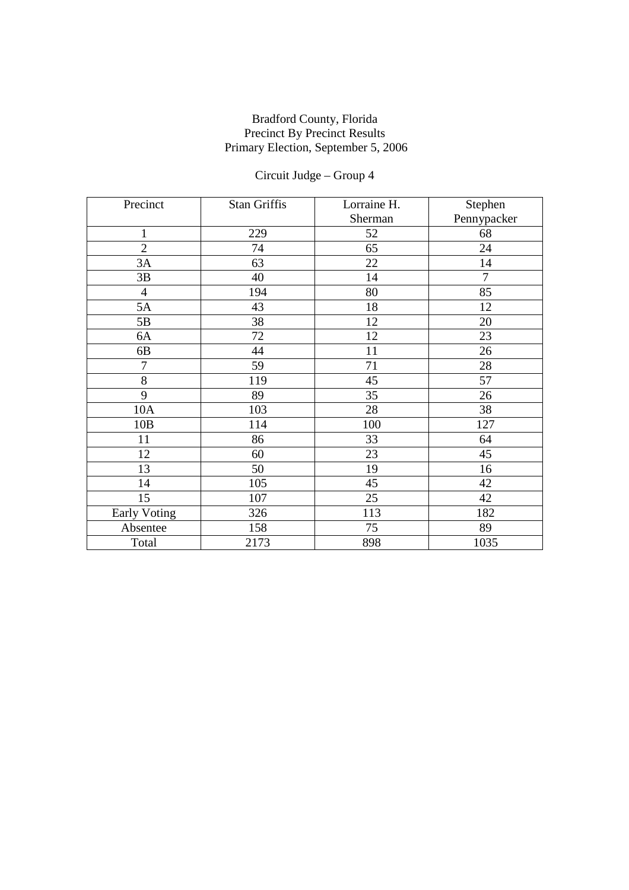# Circuit Judge – Group 4

| Precinct            | Stan Griffis | Lorraine H. | Stephen     |
|---------------------|--------------|-------------|-------------|
|                     |              | Sherman     | Pennypacker |
| $\mathbf{1}$        | 229          | 52          | 68          |
| $\overline{2}$      | 74           | 65          | 24          |
| 3A                  | 63           | 22          | 14          |
| 3B                  | 40           | 14          | 7           |
| $\overline{4}$      | 194          | 80          | 85          |
| 5A                  | 43           | 18          | 12          |
| 5B                  | 38           | 12          | 20          |
| 6A                  | 72           | 12          | 23          |
| 6B                  | 44           | 11          | 26          |
| $\overline{7}$      | 59           | 71          | 28          |
| 8                   | 119          | 45          | 57          |
| 9                   | 89           | 35          | 26          |
| 10A                 | 103          | 28          | 38          |
| 10B                 | 114          | 100         | 127         |
| 11                  | 86           | 33          | 64          |
| 12                  | 60           | 23          | 45          |
| 13                  | 50           | 19          | 16          |
| 14                  | 105          | 45          | 42          |
| 15                  | 107          | 25          | 42          |
| <b>Early Voting</b> | 326          | 113         | 182         |
| Absentee            | 158          | 75          | 89          |
| Total               | 2173         | 898         | 1035        |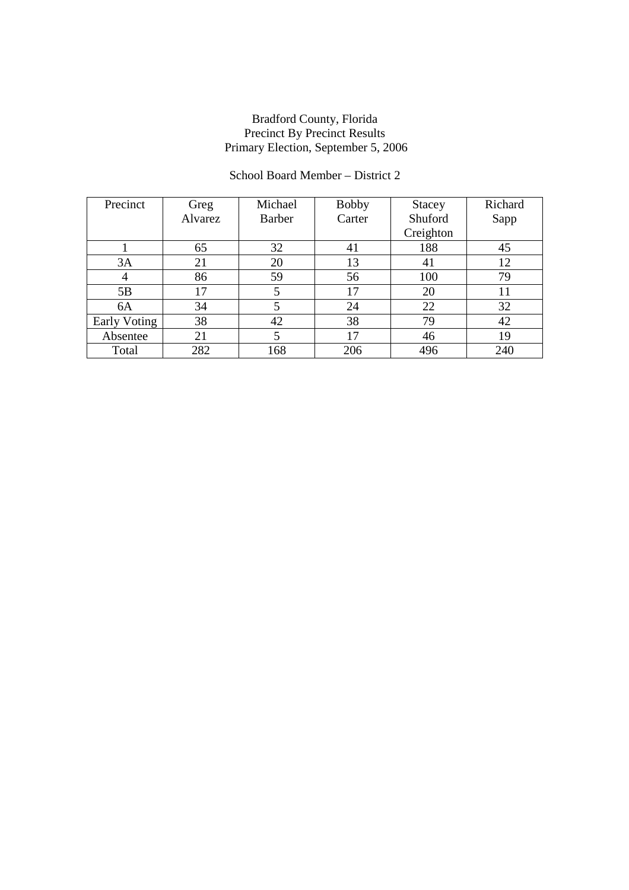## School Board Member – District 2

| Precinct     | Greg    | Michael       | <b>Bobby</b> | Stacey    | Richard |
|--------------|---------|---------------|--------------|-----------|---------|
|              | Alvarez | <b>Barber</b> | Carter       | Shuford   | Sapp    |
|              |         |               |              | Creighton |         |
|              | 65      | 32            | 41           | 188       | 45      |
| 3A           | 21      | 20            | 13           | 41        | 12      |
| 4            | 86      | 59            | 56           | 100       | 79      |
| 5B           | 17      |               | 17           | 20        | 11      |
| 6A           | 34      |               | 24           | 22        | 32      |
| Early Voting | 38      | 42            | 38           | 79        | 42      |
| Absentee     | 21      |               | 17           | 46        | 19      |
| Total        | 282     | 168           | 206          | 496       | 240     |